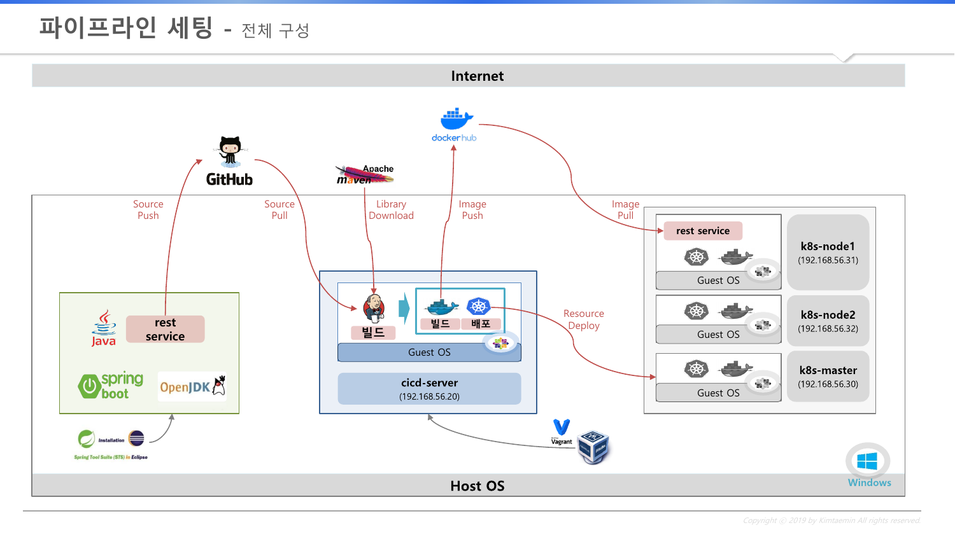## **파이프라인 세팅 -** 전체 구성

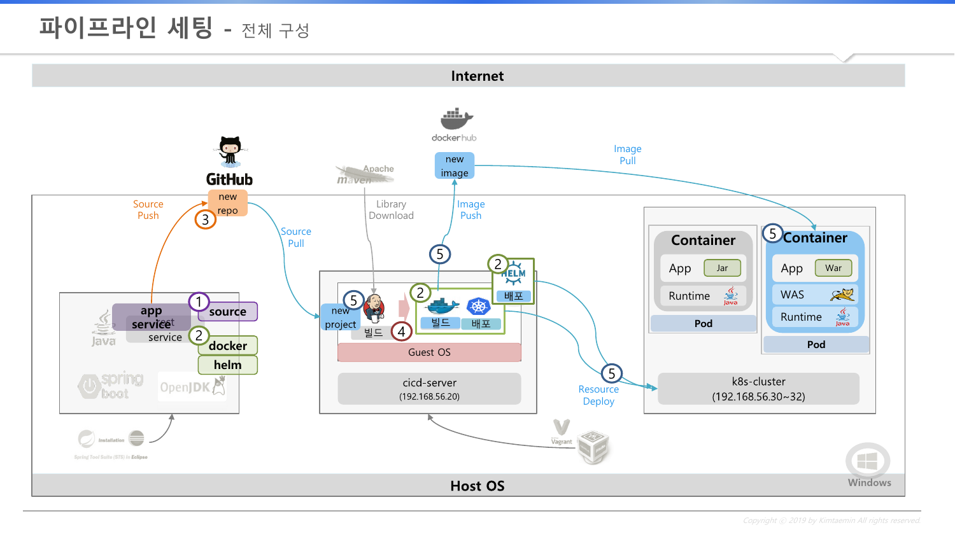## **파이프라인 세팅 -** 전체 구성